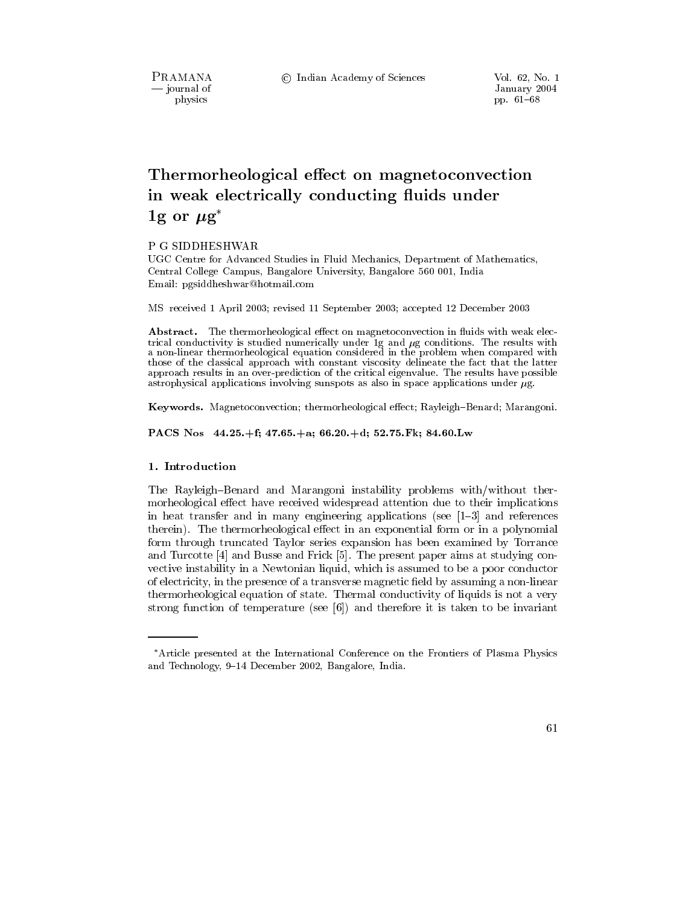PRAMANA - journal of physics

© Indian Academy of Sciences

Vol. 62, No. 1 January 2004 pp. 61-68

# Thermorheological effect on magnetoconvection in weak electrically conducting fluids under 1g or  $\mu$ g<sup>\*</sup>

#### P G SIDDHESHWAR

UGC Centre for Advanced Studies in Fluid Mechanics, Department of Mathematics, Central College Campus, Bangalore University, Bangalore 560 001, India Email: pgsiddheshwar@hotmail.com

MS received 1 April 2003; revised 11 September 2003; accepted 12 December 2003

**Abstract.** The thermorheological effect on magnetoconvection in fluids with weak electrical conductivity is studied numerically under 1g and  $\mu$ g conditions. The results with a non-linear thermorheological equation considered in the problem when compared with those of the classical approach with constant viscosity delineate the fact that the latter approach results in an over-prediction of the critical eigenvalue. The results have possible astrophysical applications involving sunspots as also in space applications under  $\mu$ g.

Keywords. Magnetoconvection; thermorheological effect; Rayleigh-Benard; Marangoni.

PACS Nos 44.25. +f; 47.65. +a; 66.20. +d; 52.75. Fk; 84.60. Lw

#### 1. Introduction

The Rayleigh-Benard and Marangoni instability problems with/without thermorheological effect have received widespread attention due to their implications in heat transfer and in many engineering applications (see  $[1-3]$  and references therein). The thermorheological effect in an exponential form or in a polynomial form through truncated Taylor series expansion has been examined by Torrance and Turcotte [4] and Busse and Frick [5]. The present paper aims at studying convective instability in a Newtonian liquid, which is assumed to be a poor conductor of electricity, in the presence of a transverse magnetic field by assuming a non-linear thermorheological equation of state. Thermal conductivity of liquids is not a very strong function of temperature (see  $[6]$ ) and therefore it is taken to be invariant

<sup>\*</sup>Article presented at the International Conference on the Frontiers of Plasma Physics and Technology, 9-14 December 2002, Bangalore, India.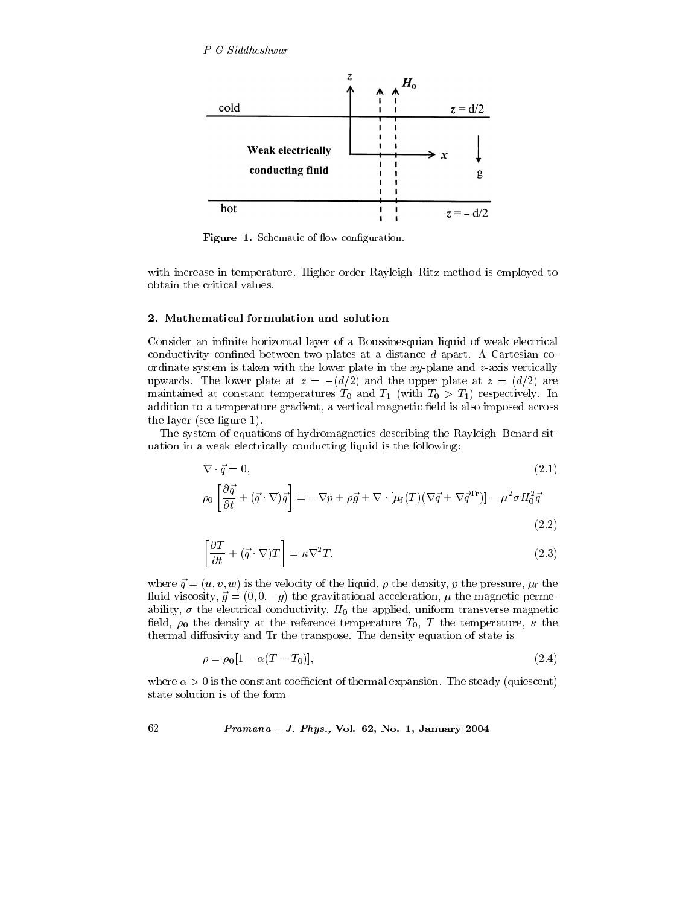P G Siddheshwar



Figure 1. Schematic of flow configuration.

with increase in temperature. Higher order Rayleigh-Ritz method is employed to obtain the critical values.

# 2. Mathematical formulation and solution

Consider an infinite horizontal layer of a Boussinesquian liquid of weak electrical conductivity confined between two plates at a distance d apart. A Cartesian coordinate system is taken with the lower plate in the  $xy$ -plane and z-axis vertically upwards. The lower plate at  $z = -(d/2)$  and the upper plate at  $z = (d/2)$  are maintained at constant temperatures  $T_0$  and  $T_1$  (with  $T_0 > T_1$ ) respectively. In addition to a temperature gradient, a vertical magnetic field is also imposed across the layer (see figure 1).

The system of equations of hydromagnetics describing the Rayleigh–Benard situation in a weak electrically conducting liquid is the following:

$$
\nabla \cdot \vec{q} = 0,\tag{2.1}
$$

$$
\rho_0 \left[ \frac{\partial \vec{q}}{\partial t} + (\vec{q} \cdot \nabla) \vec{q} \right] = -\nabla p + \rho \vec{g} + \nabla \cdot \left[ \mu_f(T) (\nabla \vec{q} + \nabla \vec{q}^{\text{Tr}}) \right] - \mu^2 \sigma H_0^2 \vec{q}
$$
\n(2.2)

$$
\left[\frac{\partial T}{\partial t} + (\vec{q} \cdot \nabla)T\right] = \kappa \nabla^2 T,\tag{2.3}
$$

where  $\vec{q} = (u, v, w)$  is the velocity of the liquid,  $\rho$  the density, p the pressure,  $\mu_f$  the fluid viscosity,  $\vec{q} = (0, 0, -q)$  the gravitational acceleration,  $\mu$  the magnetic permeability,  $\sigma$  the electrical conductivity,  $H_0$  the applied, uniform transverse magnetic field,  $\rho_0$  the density at the reference temperature  $T_0$ , T the temperature,  $\kappa$  the thermal diffusivity and Tr the transpose. The density equation of state is

$$
\rho = \rho_0 [1 - \alpha (T - T_0)], \tag{2.4}
$$

where  $\alpha > 0$  is the constant coefficient of thermal expansion. The steady (quiescent) state solution is of the form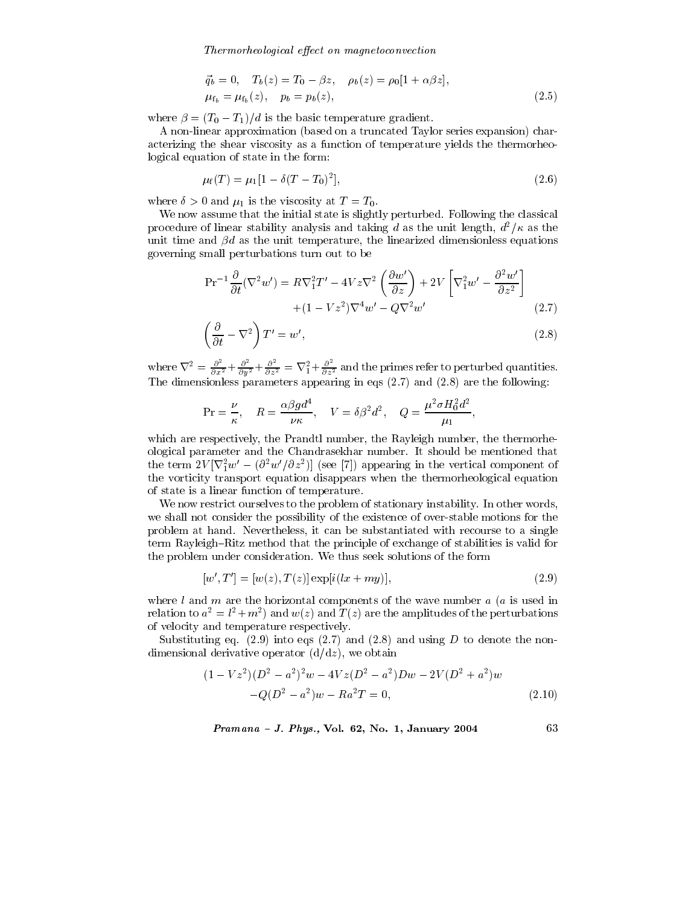Thermorheological effect on magnetoconvection

$$
\vec{q}_b = 0, \quad T_b(z) = T_0 - \beta z, \quad \rho_b(z) = \rho_0 [1 + \alpha \beta z], \n\mu_{f_b} = \mu_{f_b}(z), \quad p_b = p_b(z),
$$
\n(2.5)

where  $\beta = (T_0 - T_1)/d$  is the basic temperature gradient.

A non-linear approximation (based on a truncated Taylor series expansion) characterizing the shear viscosity as a function of temperature yields the thermorheological equation of state in the form:

> $\mu_f(T) = \mu_1[1 - \delta(T - T_0)^2].$  $(2.6)$

where  $\delta > 0$  and  $\mu_1$  is the viscosity at  $T = T_0$ .

We now assume that the initial state is slightly perturbed. Following the classical procedure of linear stability analysis and taking d as the unit length,  $d^2/\kappa$  as the unit time and  $\beta d$  as the unit temperature, the linearized dimensionless equations governing small perturbations turn out to be

$$
\Pr^{-1}\frac{\partial}{\partial t}(\nabla^2 w') = R\nabla_1^2 T' - 4Vz\nabla^2 \left(\frac{\partial w'}{\partial z}\right) + 2V\left[\nabla_1^2 w' - \frac{\partial^2 w'}{\partial z^2}\right] + (1 - Vz^2)\nabla^4 w' - Q\nabla^2 w'\tag{2.7}
$$

$$
\left(\frac{\partial}{\partial t} - \nabla^2\right)T' = w',\tag{2.8}
$$

where  $\nabla^2 = \frac{\partial^2}{\partial x^2} + \frac{\partial^2}{\partial y^2} + \frac{\partial^2}{\partial z^2} = \nabla_1^2 + \frac{\partial^2}{\partial z^2}$  and the primes refer to perturbed quantities. The dimensionless parameters appearing in eqs  $(2.7)$  and  $(2.8)$  are the following:

$$
\Pr=\frac{\nu}{\kappa},\quad R=\frac{\alpha\beta g d^4}{\nu\kappa},\quad V=\delta\beta^2 d^2,\quad Q=\frac{\mu^2\sigma H_0^2 d^2}{\mu_1}
$$

which are respectively, the Prandtl number, the Rayleigh number, the thermorheological parameter and the Chandrasekhar number. It should be mentioned that the term  $2V[\nabla_1^2 w' - (\partial^2 w'/\partial z^2)]$  (see [7]) appearing in the vertical component of the vorticity transport equation disappears when the thermorheological equation of state is a linear function of temperature.

We now restrict ourselves to the problem of stationary instability. In other words, we shall not consider the possibility of the existence of over-stable motions for the problem at hand. Nevertheless, it can be substantiated with recourse to a single term Rayleigh–Ritz method that the principle of exchange of stabilities is valid for the problem under consideration. We thus seek solutions of the form

$$
[w', T'] = [w(z), T(z)] \exp[i(lx + my)], \qquad (2.9)
$$

where l and m are the horizontal components of the wave number  $a$  (a is used in relation to  $a^2 = l^2 + m^2$  and  $w(z)$  and  $T(z)$  are the amplitudes of the perturbations of velocity and temperature respectively.

Substituting eq.  $(2.9)$  into eqs  $(2.7)$  and  $(2.8)$  and using D to denote the nondimensional derivative operator  $(d/dz)$ , we obtain

$$
(1 - Vz2)(D2 – a2)2w – 4Vz(D2 – a2)Dw – 2V(D2 + a2)w-Q(D2 – a2)w – Ra2T = 0,
$$
\n(2.10)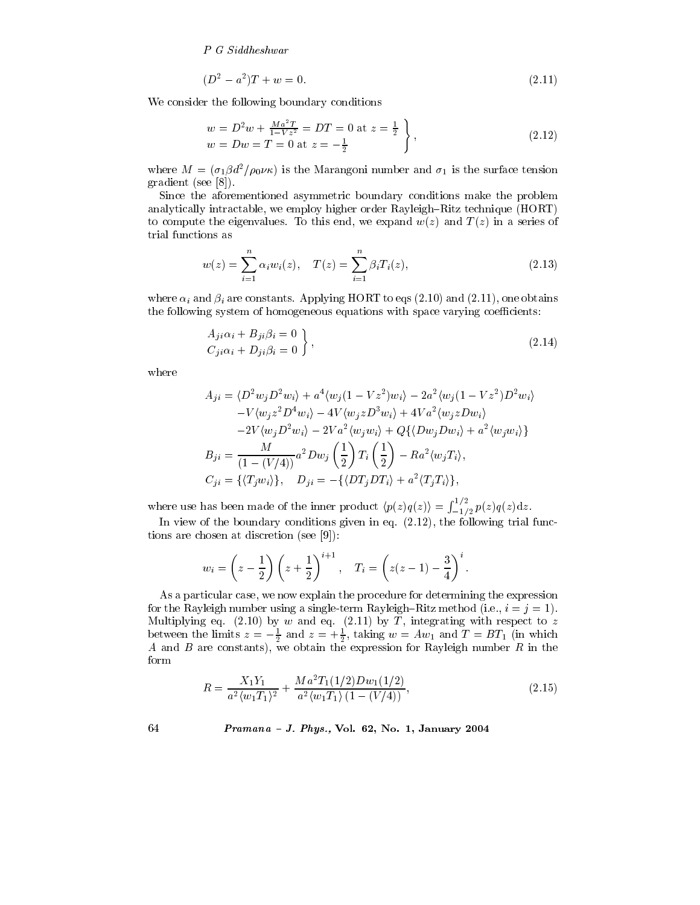P G Siddheshwar

$$
(D2 - a2)T + w = 0.
$$
\n(2.11)

We consider the following boundary conditions

$$
w = D2w + \frac{Ma2 T}{1 - Vz2} = DT = 0 \text{ at } z = \frac{1}{2}
$$
  
\n
$$
w = Dw = T = 0 \text{ at } z = -\frac{1}{2}
$$
\n(2.12)

where  $M = (\sigma_1 \beta d^2 / \rho_0 \nu \kappa)$  is the Marangoni number and  $\sigma_1$  is the surface tension gradient (see  $[8]$ ).

Since the aforementioned asymmetric boundary conditions make the problem analytically intractable, we employ higher order Rayleigh-Ritz technique (HORT) to compute the eigenvalues. To this end, we expand  $w(z)$  and  $T(z)$  in a series of trial functions as

$$
w(z) = \sum_{i=1}^{n} \alpha_i w_i(z), \quad T(z) = \sum_{i=1}^{n} \beta_i T_i(z), \tag{2.13}
$$

where  $\alpha_i$  and  $\beta_i$  are constants. Applying HORT to eqs (2.10) and (2.11), one obtains the following system of homogeneous equations with space varying coefficients:

$$
A_{ji}\alpha_i + B_{ji}\beta_i = 0 C_{ji}\alpha_i + D_{ji}\beta_i = 0
$$
 (2.14)

where

$$
A_{ji} = \langle D^2 w_j D^2 w_i \rangle + a^4 \langle w_j (1 - Vz^2) w_i \rangle - 2a^2 \langle w_j (1 - Vz^2) D^2 w_i \rangle - V \langle w_j z^2 D^4 w_i \rangle - 4V \langle w_j z D^3 w_i \rangle + 4V a^2 \langle w_j z D w_i \rangle - 2V \langle w_j D^2 w_i \rangle - 2V a^2 \langle w_j w_i \rangle + Q \{ \langle D w_j D w_i \rangle + a^2 \langle w_j w_i \rangle \} B_{ji} = \frac{M}{(1 - (V/4))} a^2 D w_j \left(\frac{1}{2}\right) T_i \left(\frac{1}{2}\right) - R a^2 \langle w_j T_i \rangle,
$$
  

$$
C_{ji} = \{ \langle T_j w_i \rangle \}, \quad D_{ji} = - \{ \langle D T_j D T_i \rangle + a^2 \langle T_j T_i \rangle \},
$$

where use has been made of the inner product  $\langle p(z)q(z)\rangle = \int_{-1/2}^{1/2} p(z)q(z)dz$ .

In view of the boundary conditions given in eq.  $(2.12)$ , the following trial functions are chosen at discretion (see [9]).

$$
w_i = \left(z - \frac{1}{2}\right) \left(z + \frac{1}{2}\right)^{i+1}, \quad T_i = \left(z(z-1) - \frac{3}{4}\right)^i.
$$

As a particular case, we now explain the procedure for determining the expression for the Rayleigh number using a single-term Rayleigh–Ritz method (i.e.,  $i = j = 1$ ). Multiplying eq. (2.10) by w and eq. (2.11) by T, integrating with respect to z<br>between the limits  $z = -\frac{1}{2}$  and  $z = +\frac{1}{2}$ , taking  $w = Aw_1$  and  $T = BT_1$  (in which<br>A and B are constants), we obtain the expression for Ra form

$$
R = \frac{X_1 Y_1}{a^2 \langle w_1 T_1 \rangle^2} + \frac{M a^2 T_1 (1/2) D w_1 (1/2)}{a^2 \langle w_1 T_1 \rangle (1 - (V/4))},\tag{2.15}
$$

*Pramana - J. Phys.*, Vol. 62, No. 1, January 2004

64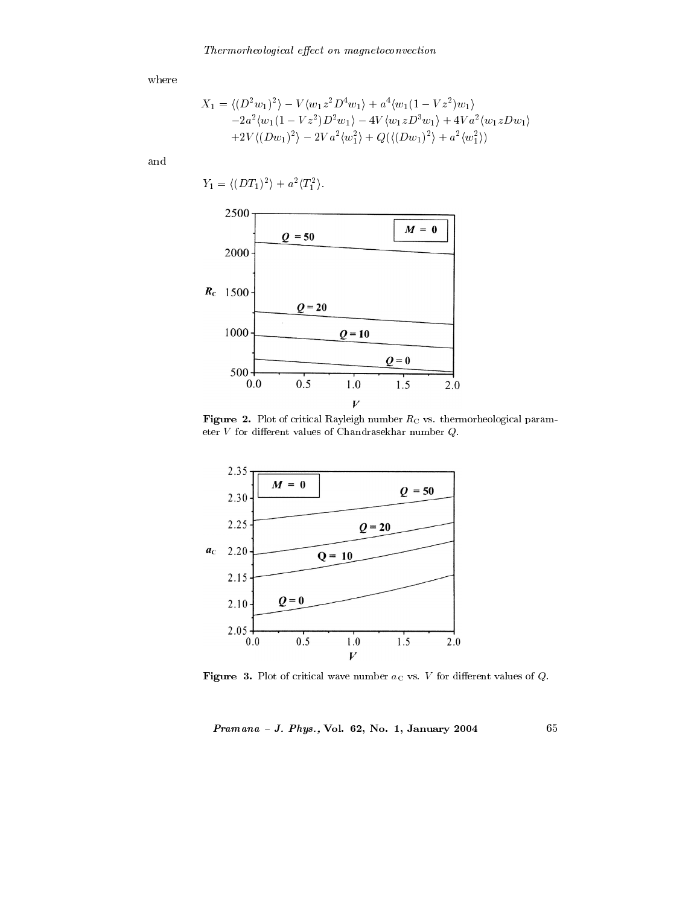where

$$
X_1 = \langle (D^2 w_1)^2 \rangle - V \langle w_1 z^2 D^4 w_1 \rangle + a^4 \langle w_1 (1 - V z^2) w_1 \rangle - 2a^2 \langle w_1 (1 - V z^2) D^2 w_1 \rangle - 4V \langle w_1 z D^3 w_1 \rangle + 4V a^2 \langle w_1 z Dw_1 \rangle + 2V \langle (Dw_1)^2 \rangle - 2V a^2 \langle w_1^2 \rangle + Q(\langle (Dw_1)^2 \rangle + a^2 \langle w_1^2 \rangle)
$$

and

$$
Y_1 = \langle (DT_1)^2 \rangle + a^2 \langle T_1^2 \rangle.
$$



Figure 2. Plot of critical Rayleigh number  $R_C$  vs. thermorheological parameter  ${\cal V}$  for different values of Chandrasekhar number  $Q.$ 



**Figure 3.** Plot of critical wave number  $a<sub>C</sub>$  vs. V for different values of  $Q$ .

 $65\,$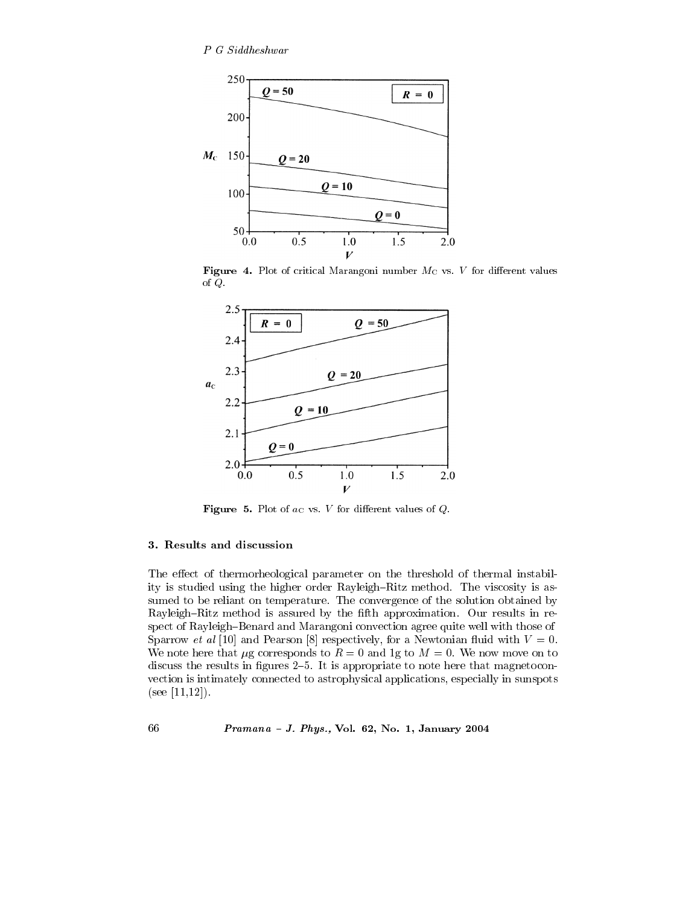P G Siddheshwar



Figure 4. Plot of critical Marangoni number  $M<sub>C</sub>$  vs. V for different values of  $Q$ .



**Figure 5.** Plot of  $a<sub>C</sub>$  vs. V for different values of  $Q$ .

### 3. Results and discussion

The effect of thermorheological parameter on the threshold of thermal instability is studied using the higher order Rayleigh–Ritz method. The viscosity is assumed to be reliant on temperature. The convergence of the solution obtained by Rayleigh-Ritz method is assured by the fifth approximation. Our results in respect of Rayleigh-Benard and Marangoni convection agree quite well with those of Sparrow *et al* [10] and Pearson [8] respectively, for a Newtonian fluid with  $V = 0$ . We note here that  $\mu$ g corresponds to  $R = 0$  and 1g to  $M = 0$ . We now move on to discuss the results in figures  $2-5$ . It is appropriate to note here that magnetoconvection is intimately connected to astrophysical applications, especially in sunspots (see [11,12]).

### Pramana - J. Phys., Vol. 62, No. 1, January 2004

66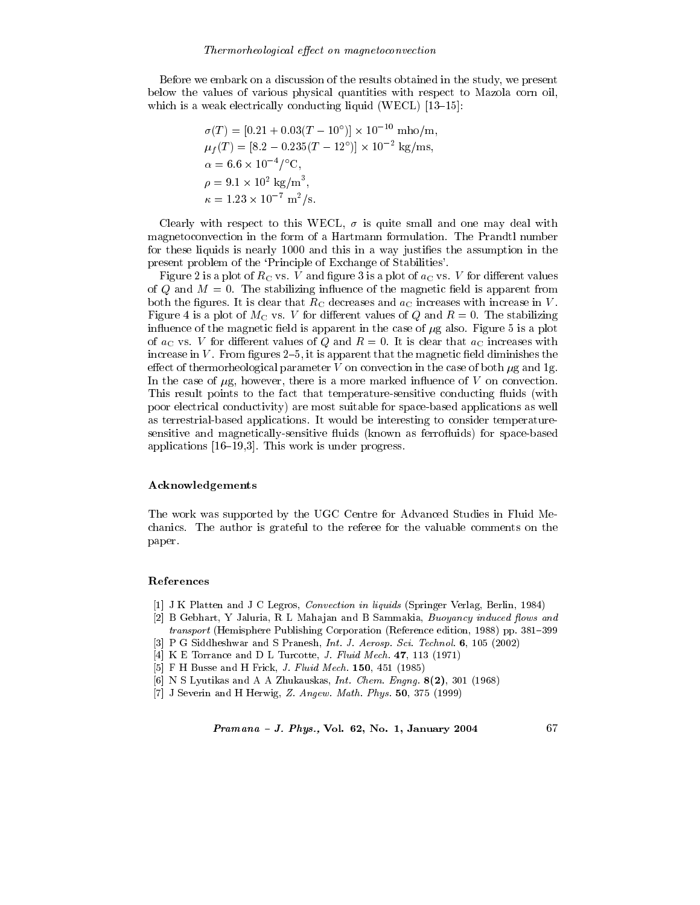Before we embark on a discussion of the results obtained in the study, we present below the values of various physical quantities with respect to Mazola corn oil, which is a weak electrically conducting liquid (WECL)  $[13-15]$ :

$$
\sigma(T) = [0.21 + 0.03(T - 10^{\circ})] \times 10^{-10} \text{ mho/m},
$$
  
\n
$$
\mu_f(T) = [8.2 - 0.235(T - 12^{\circ})] \times 10^{-2} \text{ kg/ms},
$$
  
\n
$$
\alpha = 6.6 \times 10^{-4} / ^{\circ}\text{C},
$$
  
\n
$$
\rho = 9.1 \times 10^{2} \text{ kg/m}^{3},
$$
  
\n
$$
\kappa = 1.23 \times 10^{-7} \text{ m}^{2}/\text{s}.
$$

Clearly with respect to this WECL,  $\sigma$  is quite small and one may deal with magnetoconvection in the form of a Hartmann formulation. The Prandtl number for these liquids is nearly 1000 and this in a way justifies the assumption in the present problem of the 'Principle of Exchange of Stabilities'.

Figure 2 is a plot of  $R<sub>C</sub>$  vs. V and figure 3 is a plot of  $a<sub>C</sub>$  vs. V for different values of Q and  $M = 0$ . The stabilizing influence of the magnetic field is apparent from both the figures. It is clear that  $R_{\rm C}$  decreases and  $a_{\rm C}$  increases with increase in V. Figure 4 is a plot of  $M<sub>C</sub>$  vs. V for different values of Q and  $R = 0$ . The stabilizing influence of the magnetic field is apparent in the case of  $\mu$ g also. Figure 5 is a plot of  $a_{\rm C}$  vs. V for different values of Q and  $R=0$ . It is clear that  $a_{\rm C}$  increases with increase in  $V$ . From figures 2-5, it is apparent that the magnetic field diminishes the effect of thermorheological parameter V on convection in the case of both  $\mu$ g and 1g. In the case of  $\mu$ g, however, there is a more marked influence of V on convection. This result points to the fact that temperature-sensitive conducting fluids (with poor electrical conductivity) are most suitable for space-based applications as well as terrestrial-based applications. It would be interesting to consider temperaturesensitive and magnetically-sensitive fluids (known as ferrofluids) for space-based applications  $[16-19,3]$ . This work is under progress.

### Acknowledgements

The work was supported by the UGC Centre for Advanced Studies in Fluid Mechanics. The author is grateful to the referee for the valuable comments on the paper.

#### References

- [1] J K Platten and J C Legros, *Convection in liquids* (Springer Verlag, Berlin, 1984)
- [2] B Gebhart, Y Jaluria, R L Mahajan and B Sammakia, Buoyancy induced flows and transport (Hemisphere Publishing Corporation (Reference edition, 1988) pp. 381-399
- [3] P G Siddheshwar and S Pranesh, *Int. J. Aerosp. Sci. Technol.* 6, 105 (2002)
- [4] K E Torrance and D L Turcotte, *J. Fluid Mech.* 47, 113 (1971)
- [5] F H Busse and H Frick, J. Fluid Mech. 150, 451 (1985)
- [6] N S Lyutikas and A A Zhukauskas, *Int. Chem. Engnq.*  $8(2)$ , 301 (1968)
- [7] J Severin and H Herwig, Z. Angew. Math. Phys.  $50$ , 375 (1999)